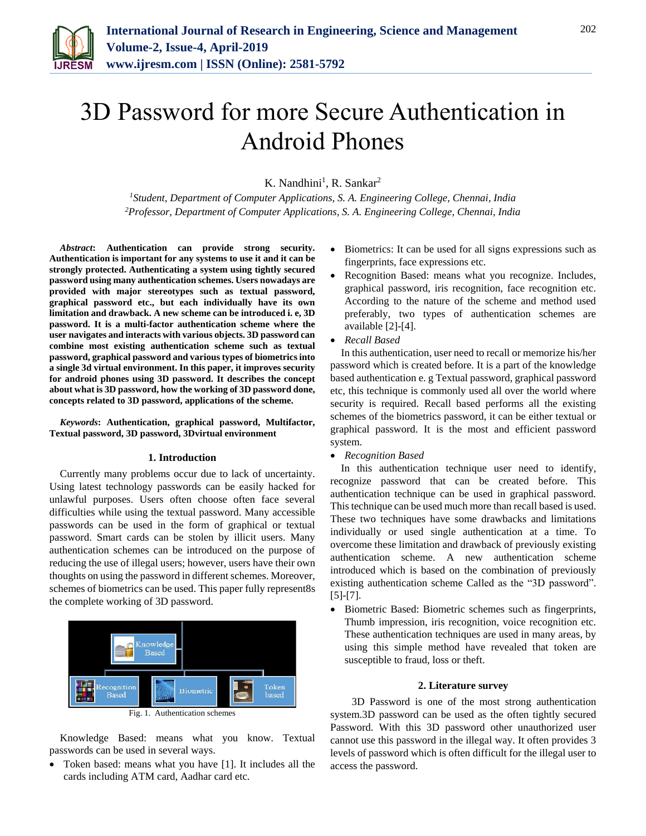

# 3D Password for more Secure Authentication in Android Phones

K. Nandhini<sup>1</sup>, R. Sankar<sup>2</sup>

*<sup>1</sup>Student, Department of Computer Applications, S. A. Engineering College, Chennai, India 2Professor, Department of Computer Applications, S. A. Engineering College, Chennai, India*

*Abstract***: Authentication can provide strong security. Authentication is important for any systems to use it and it can be strongly protected. Authenticating a system using tightly secured password using many authentication schemes. Users nowadays are provided with major stereotypes such as textual password, graphical password etc., but each individually have its own limitation and drawback. A new scheme can be introduced i. e, 3D password. It is a multi-factor authentication scheme where the user navigates and interacts with various objects. 3D password can combine most existing authentication scheme such as textual password, graphical password and various types of biometrics into a single 3d virtual environment. In this paper, it improves security for android phones using 3D password. It describes the concept about what is 3D password, how the working of 3D password done, concepts related to 3D password, applications of the scheme.**

*Keywords***: Authentication, graphical password, Multifactor, Textual password, 3D password, 3Dvirtual environment**

#### **1. Introduction**

Currently many problems occur due to lack of uncertainty. Using latest technology passwords can be easily hacked for unlawful purposes. Users often choose often face several difficulties while using the textual password. Many accessible passwords can be used in the form of graphical or textual password. Smart cards can be stolen by illicit users. Many authentication schemes can be introduced on the purpose of reducing the use of illegal users; however, users have their own thoughts on using the password in different schemes. Moreover, schemes of biometrics can be used. This paper fully represent8s the complete working of 3D password.





Knowledge Based: means what you know. Textual passwords can be used in several ways.

 Token based: means what you have [1]. It includes all the cards including ATM card, Aadhar card etc.

- Biometrics: It can be used for all signs expressions such as fingerprints, face expressions etc.
- Recognition Based: means what you recognize. Includes, graphical password, iris recognition, face recognition etc. According to the nature of the scheme and method used preferably, two types of authentication schemes are available [2]-[4].
- *Recall Based*

In this authentication, user need to recall or memorize his/her password which is created before. It is a part of the knowledge based authentication e. g Textual password, graphical password etc, this technique is commonly used all over the world where security is required. Recall based performs all the existing schemes of the biometrics password, it can be either textual or graphical password. It is the most and efficient password system.

*Recognition Based*

In this authentication technique user need to identify, recognize password that can be created before. This authentication technique can be used in graphical password. This technique can be used much more than recall based is used. These two techniques have some drawbacks and limitations individually or used single authentication at a time. To overcome these limitation and drawback of previously existing authentication scheme. A new authentication scheme introduced which is based on the combination of previously existing authentication scheme Called as the "3D password". [5]-[7].

• Biometric Based: Biometric schemes such as fingerprints, Thumb impression, iris recognition, voice recognition etc. These authentication techniques are used in many areas, by using this simple method have revealed that token are susceptible to fraud, loss or theft.

#### **2. Literature survey**

3D Password is one of the most strong authentication system.3D password can be used as the often tightly secured Password. With this 3D password other unauthorized user cannot use this password in the illegal way. It often provides 3 levels of password which is often difficult for the illegal user to access the password.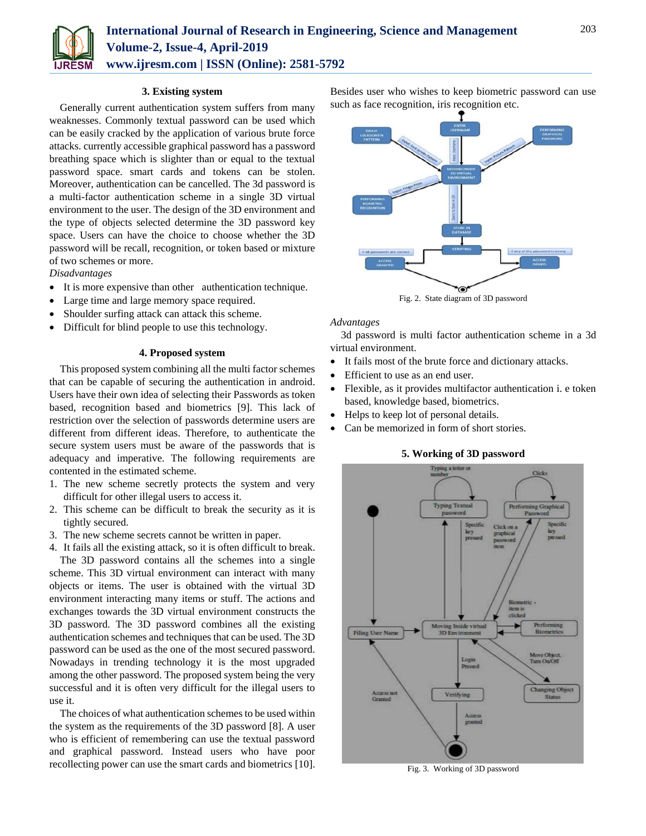

#### **3. Existing system**

Generally current authentication system suffers from many weaknesses. Commonly textual password can be used which can be easily cracked by the application of various brute force attacks. currently accessible graphical password has a password breathing space which is slighter than or equal to the textual password space. smart cards and tokens can be stolen. Moreover, authentication can be cancelled. The 3d password is a multi-factor authentication scheme in a single 3D virtual environment to the user. The design of the 3D environment and the type of objects selected determine the 3D password key space. Users can have the choice to choose whether the 3D password will be recall, recognition, or token based or mixture of two schemes or more.

*Disadvantages*

- It is more expensive than other authentication technique.
- Large time and large memory space required.
- Shoulder surfing attack can attack this scheme.
- Difficult for blind people to use this technology.

#### **4. Proposed system**

This proposed system combining all the multi factor schemes that can be capable of securing the authentication in android. Users have their own idea of selecting their Passwords as token based, recognition based and biometrics [9]. This lack of restriction over the selection of passwords determine users are different from different ideas. Therefore, to authenticate the secure system users must be aware of the passwords that is adequacy and imperative. The following requirements are contented in the estimated scheme.

- 1. The new scheme secretly protects the system and very difficult for other illegal users to access it.
- 2. This scheme can be difficult to break the security as it is tightly secured.
- 3. The new scheme secrets cannot be written in paper.
- 4. It fails all the existing attack, so it is often difficult to break.

The 3D password contains all the schemes into a single scheme. This 3D virtual environment can interact with many objects or items. The user is obtained with the virtual 3D environment interacting many items or stuff. The actions and exchanges towards the 3D virtual environment constructs the 3D password. The 3D password combines all the existing authentication schemes and techniques that can be used. The 3D password can be used as the one of the most secured password. Nowadays in trending technology it is the most upgraded among the other password. The proposed system being the very successful and it is often very difficult for the illegal users to use it.

The choices of what authentication schemes to be used within the system as the requirements of the 3D password [8]. A user who is efficient of remembering can use the textual password and graphical password. Instead users who have poor recollecting power can use the smart cards and biometrics [10]. Besides user who wishes to keep biometric password can use such as face recognition, iris recognition etc.



Fig. 2. State diagram of 3D password

#### *Advantages*

3d password is multi factor authentication scheme in a 3d virtual environment.

- It fails most of the brute force and dictionary attacks.
- Efficient to use as an end user.
- Flexible, as it provides multifactor authentication i. e token based, knowledge based, biometrics.
- Helps to keep lot of personal details.
- Can be memorized in form of short stories.

#### **5. Working of 3D password**



Fig. 3. Working of 3D password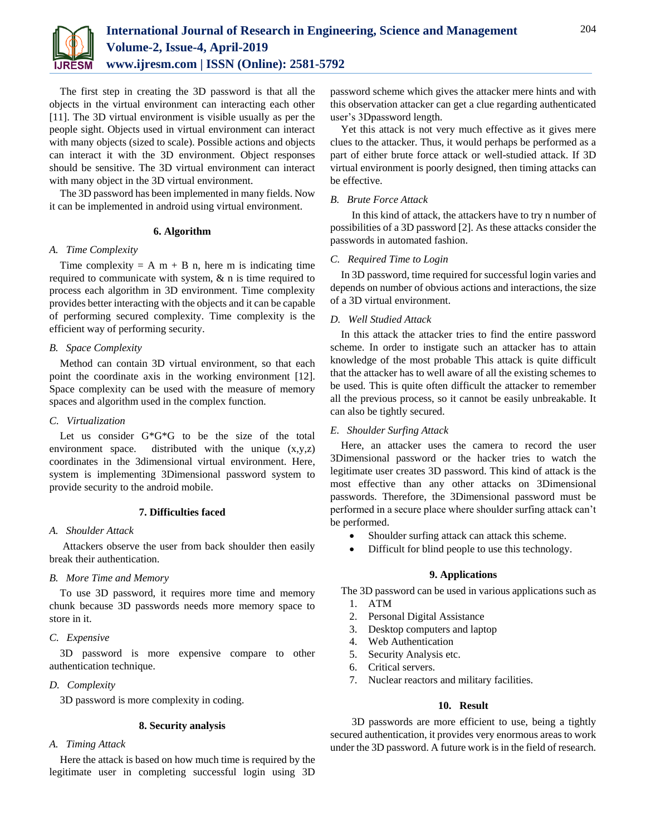

The first step in creating the 3D password is that all the objects in the virtual environment can interacting each other [11]. The 3D virtual environment is visible usually as per the people sight. Objects used in virtual environment can interact with many objects (sized to scale). Possible actions and objects can interact it with the 3D environment. Object responses should be sensitive. The 3D virtual environment can interact with many object in the 3D virtual environment.

The 3D password has been implemented in many fields. Now it can be implemented in android using virtual environment.

#### **6. Algorithm**

## *A. Time Complexity*

Time complexity = A m + B n, here m is indicating time required to communicate with system, & n is time required to process each algorithm in 3D environment. Time complexity provides better interacting with the objects and it can be capable of performing secured complexity. Time complexity is the efficient way of performing security.

## *B. Space Complexity*

Method can contain 3D virtual environment, so that each point the coordinate axis in the working environment [12]. Space complexity can be used with the measure of memory spaces and algorithm used in the complex function.

## *C. Virtualization*

Let us consider G\*G\*G to be the size of the total environment space. distributed with the unique  $(x,y,z)$ coordinates in the 3dimensional virtual environment. Here, system is implementing 3Dimensional password system to provide security to the android mobile.

## **7. Difficulties faced**

## *A. Shoulder Attack*

Attackers observe the user from back shoulder then easily break their authentication.

## *B. More Time and Memory*

To use 3D password, it requires more time and memory chunk because 3D passwords needs more memory space to store in it.

## *C. Expensive*

3D password is more expensive compare to other authentication technique.

## *D. Complexity*

3D password is more complexity in coding.

## **8. Security analysis**

## *A. Timing Attack*

Here the attack is based on how much time is required by the legitimate user in completing successful login using 3D password scheme which gives the attacker mere hints and with this observation attacker can get a clue regarding authenticated user's 3Dpassword length.

Yet this attack is not very much effective as it gives mere clues to the attacker. Thus, it would perhaps be performed as a part of either brute force attack or well-studied attack. If 3D virtual environment is poorly designed, then timing attacks can be effective.

#### *B. Brute Force Attack*

In this kind of attack, the attackers have to try n number of possibilities of a 3D password [2]. As these attacks consider the passwords in automated fashion.

#### *C. Required Time to Login*

In 3D password, time required for successful login varies and depends on number of obvious actions and interactions, the size of a 3D virtual environment.

## *D. Well Studied Attack*

In this attack the attacker tries to find the entire password scheme. In order to instigate such an attacker has to attain knowledge of the most probable This attack is quite difficult that the attacker has to well aware of all the existing schemes to be used. This is quite often difficult the attacker to remember all the previous process, so it cannot be easily unbreakable. It can also be tightly secured.

## *E. Shoulder Surfing Attack*

Here, an attacker uses the camera to record the user 3Dimensional password or the hacker tries to watch the legitimate user creates 3D password. This kind of attack is the most effective than any other attacks on 3Dimensional passwords. Therefore, the 3Dimensional password must be performed in a secure place where shoulder surfing attack can't be performed.

- Shoulder surfing attack can attack this scheme.
- Difficult for blind people to use this technology.

#### **9. Applications**

The 3D password can be used in various applications such as 1. ATM

- 2. Personal Digital Assistance
- 3. Desktop computers and laptop
- 4. Web Authentication
- 5. Security Analysis etc.
- 6. Critical servers.
- 7. Nuclear reactors and military facilities.

#### **10. Result**

3D passwords are more efficient to use, being a tightly secured authentication, it provides very enormous areas to work under the 3D password. A future work is in the field of research.